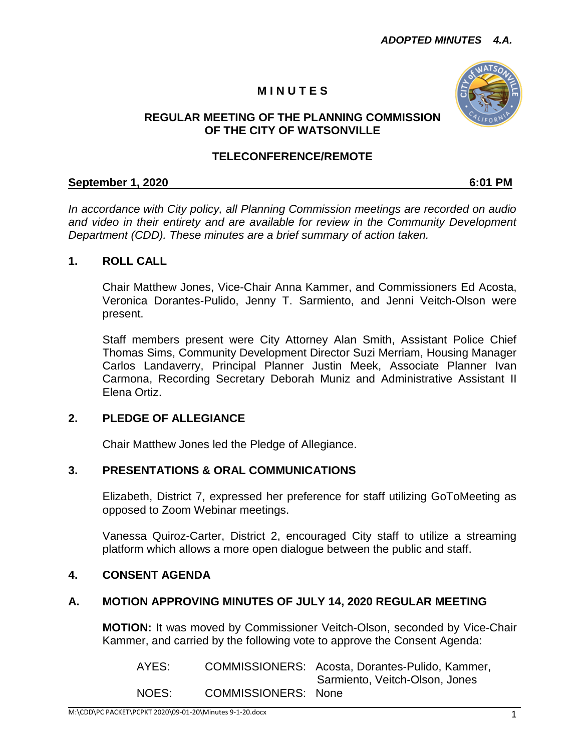# **M I N U T E S**



## **REGULAR MEETING OF THE PLANNING COMMISSION OF THE CITY OF WATSONVILLE**

## **TELECONFERENCE/REMOTE**

#### **September 1, 2020 6:01 PM**

*In accordance with City policy, all Planning Commission meetings are recorded on audio and video in their entirety and are available for review in the Community Development Department (CDD). These minutes are a brief summary of action taken.*

### **1. ROLL CALL**

Chair Matthew Jones, Vice-Chair Anna Kammer, and Commissioners Ed Acosta, Veronica Dorantes-Pulido, Jenny T. Sarmiento, and Jenni Veitch-Olson were present.

Staff members present were City Attorney Alan Smith, Assistant Police Chief Thomas Sims, Community Development Director Suzi Merriam, Housing Manager Carlos Landaverry, Principal Planner Justin Meek, Associate Planner Ivan Carmona, Recording Secretary Deborah Muniz and Administrative Assistant II Elena Ortiz.

### **2. PLEDGE OF ALLEGIANCE**

Chair Matthew Jones led the Pledge of Allegiance.

### **3. PRESENTATIONS & ORAL COMMUNICATIONS**

Elizabeth, District 7, expressed her preference for staff utilizing GoToMeeting as opposed to Zoom Webinar meetings.

Vanessa Quiroz-Carter, District 2, encouraged City staff to utilize a streaming platform which allows a more open dialogue between the public and staff.

## **4. CONSENT AGENDA**

### **A. MOTION APPROVING MINUTES OF JULY 14, 2020 REGULAR MEETING**

**MOTION:** It was moved by Commissioner Veitch-Olson, seconded by Vice-Chair Kammer, and carried by the following vote to approve the Consent Agenda:

AYES: COMMISSIONERS: Acosta, Dorantes-Pulido, Kammer, Sarmiento, Veitch-Olson, Jones NOES: COMMISSIONERS: None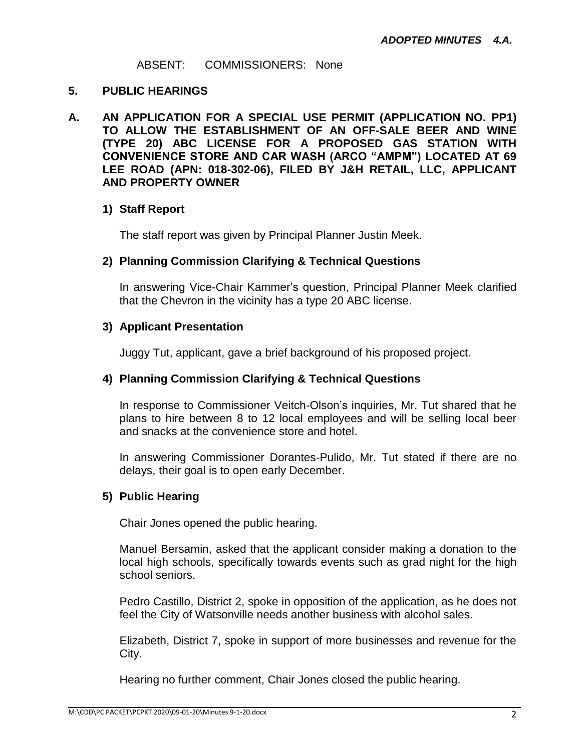#### ABSENT: COMMISSIONERS: None

### **5. PUBLIC HEARINGS**

**A. AN APPLICATION FOR A SPECIAL USE PERMIT (APPLICATION NO. PP1) TO ALLOW THE ESTABLISHMENT OF AN OFF-SALE BEER AND WINE (TYPE 20) ABC LICENSE FOR A PROPOSED GAS STATION WITH CONVENIENCE STORE AND CAR WASH (ARCO "AMPM") LOCATED AT 69 LEE ROAD (APN: 018-302-06), FILED BY J&H RETAIL, LLC, APPLICANT AND PROPERTY OWNER**

## **1) Staff Report**

The staff report was given by Principal Planner Justin Meek.

## **2) Planning Commission Clarifying & Technical Questions**

In answering Vice-Chair Kammer's question, Principal Planner Meek clarified that the Chevron in the vicinity has a type 20 ABC license.

### **3) Applicant Presentation**

Juggy Tut, applicant, gave a brief background of his proposed project.

### **4) Planning Commission Clarifying & Technical Questions**

In response to Commissioner Veitch-Olson's inquiries, Mr. Tut shared that he plans to hire between 8 to 12 local employees and will be selling local beer and snacks at the convenience store and hotel.

In answering Commissioner Dorantes-Pulido, Mr. Tut stated if there are no delays, their goal is to open early December.

## **5) Public Hearing**

Chair Jones opened the public hearing.

Manuel Bersamin, asked that the applicant consider making a donation to the local high schools, specifically towards events such as grad night for the high school seniors.

Pedro Castillo, District 2, spoke in opposition of the application, as he does not feel the City of Watsonville needs another business with alcohol sales.

Elizabeth, District 7, spoke in support of more businesses and revenue for the City.

Hearing no further comment, Chair Jones closed the public hearing.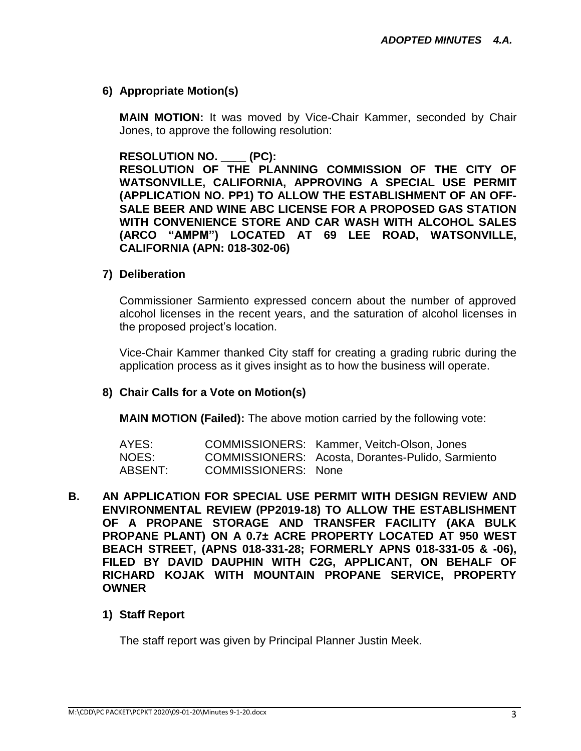## **6) Appropriate Motion(s)**

**MAIN MOTION:** It was moved by Vice-Chair Kammer, seconded by Chair Jones, to approve the following resolution:

#### **RESOLUTION NO. \_\_\_\_ (PC):**

**RESOLUTION OF THE PLANNING COMMISSION OF THE CITY OF WATSONVILLE, CALIFORNIA, APPROVING A SPECIAL USE PERMIT (APPLICATION NO. PP1) TO ALLOW THE ESTABLISHMENT OF AN OFF-SALE BEER AND WINE ABC LICENSE FOR A PROPOSED GAS STATION WITH CONVENIENCE STORE AND CAR WASH WITH ALCOHOL SALES (ARCO "AMPM") LOCATED AT 69 LEE ROAD, WATSONVILLE, CALIFORNIA (APN: 018-302-06)**

### **7) Deliberation**

Commissioner Sarmiento expressed concern about the number of approved alcohol licenses in the recent years, and the saturation of alcohol licenses in the proposed project's location.

Vice-Chair Kammer thanked City staff for creating a grading rubric during the application process as it gives insight as to how the business will operate.

### **8) Chair Calls for a Vote on Motion(s)**

**MAIN MOTION (Failed):** The above motion carried by the following vote:

| AYES:   |                            | COMMISSIONERS: Kammer, Veitch-Olson, Jones        |
|---------|----------------------------|---------------------------------------------------|
| NOES:   |                            | COMMISSIONERS: Acosta, Dorantes-Pulido, Sarmiento |
| ABSENT: | <b>COMMISSIONERS: None</b> |                                                   |

**B. AN APPLICATION FOR SPECIAL USE PERMIT WITH DESIGN REVIEW AND ENVIRONMENTAL REVIEW (PP2019-18) TO ALLOW THE ESTABLISHMENT OF A PROPANE STORAGE AND TRANSFER FACILITY (AKA BULK PROPANE PLANT) ON A 0.7± ACRE PROPERTY LOCATED AT 950 WEST BEACH STREET, (APNS 018-331-28; FORMERLY APNS 018-331-05 & -06), FILED BY DAVID DAUPHIN WITH C2G, APPLICANT, ON BEHALF OF RICHARD KOJAK WITH MOUNTAIN PROPANE SERVICE, PROPERTY OWNER**

### **1) Staff Report**

The staff report was given by Principal Planner Justin Meek.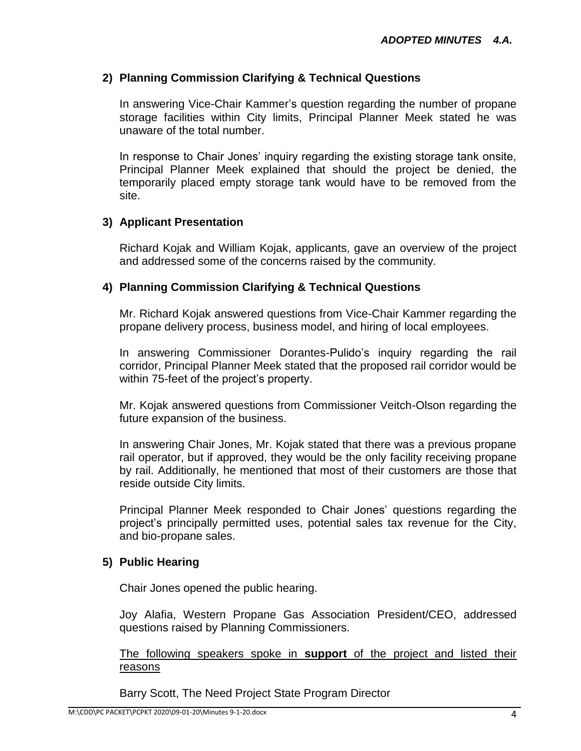## **2) Planning Commission Clarifying & Technical Questions**

In answering Vice-Chair Kammer's question regarding the number of propane storage facilities within City limits, Principal Planner Meek stated he was unaware of the total number.

In response to Chair Jones' inquiry regarding the existing storage tank onsite, Principal Planner Meek explained that should the project be denied, the temporarily placed empty storage tank would have to be removed from the site.

### **3) Applicant Presentation**

Richard Kojak and William Kojak, applicants, gave an overview of the project and addressed some of the concerns raised by the community.

### **4) Planning Commission Clarifying & Technical Questions**

Mr. Richard Kojak answered questions from Vice-Chair Kammer regarding the propane delivery process, business model, and hiring of local employees.

In answering Commissioner Dorantes-Pulido's inquiry regarding the rail corridor, Principal Planner Meek stated that the proposed rail corridor would be within 75-feet of the project's property.

Mr. Kojak answered questions from Commissioner Veitch-Olson regarding the future expansion of the business.

In answering Chair Jones, Mr. Kojak stated that there was a previous propane rail operator, but if approved, they would be the only facility receiving propane by rail. Additionally, he mentioned that most of their customers are those that reside outside City limits.

Principal Planner Meek responded to Chair Jones' questions regarding the project's principally permitted uses, potential sales tax revenue for the City, and bio-propane sales.

### **5) Public Hearing**

Chair Jones opened the public hearing.

Joy Alafia, Western Propane Gas Association President/CEO, addressed questions raised by Planning Commissioners.

The following speakers spoke in **support** of the project and listed their reasons

Barry Scott, The Need Project State Program Director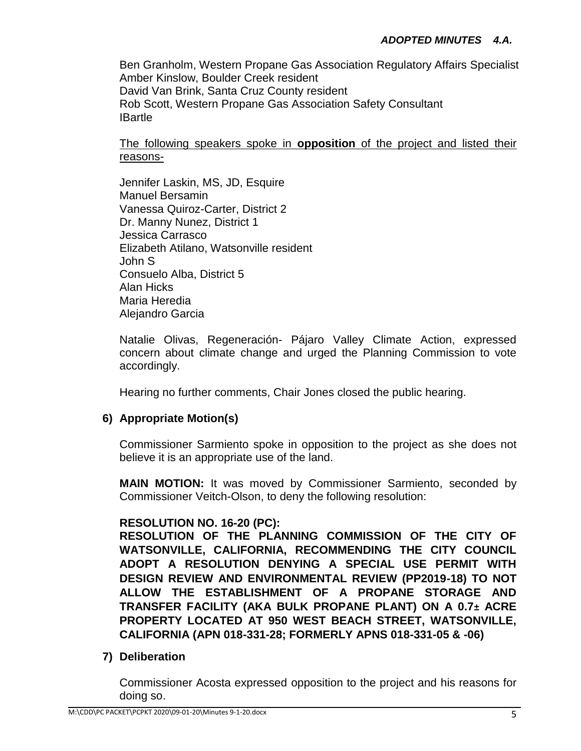Ben Granholm, Western Propane Gas Association Regulatory Affairs Specialist Amber Kinslow, Boulder Creek resident David Van Brink, Santa Cruz County resident Rob Scott, Western Propane Gas Association Safety Consultant **IBartle** 

The following speakers spoke in **opposition** of the project and listed their reasons-

Jennifer Laskin, MS, JD, Esquire Manuel Bersamin Vanessa Quiroz-Carter, District 2 Dr. Manny Nunez, District 1 Jessica Carrasco Elizabeth Atilano, Watsonville resident John S Consuelo Alba, District 5 Alan Hicks Maria Heredia Alejandro Garcia

Natalie Olivas, Regeneración- Pájaro Valley Climate Action, expressed concern about climate change and urged the Planning Commission to vote accordingly.

Hearing no further comments, Chair Jones closed the public hearing.

# **6) Appropriate Motion(s)**

Commissioner Sarmiento spoke in opposition to the project as she does not believe it is an appropriate use of the land.

**MAIN MOTION:** It was moved by Commissioner Sarmiento, seconded by Commissioner Veitch-Olson, to deny the following resolution:

## **RESOLUTION NO. 16-20 (PC):**

**RESOLUTION OF THE PLANNING COMMISSION OF THE CITY OF WATSONVILLE, CALIFORNIA, RECOMMENDING THE CITY COUNCIL ADOPT A RESOLUTION DENYING A SPECIAL USE PERMIT WITH DESIGN REVIEW AND ENVIRONMENTAL REVIEW (PP2019-18) TO NOT ALLOW THE ESTABLISHMENT OF A PROPANE STORAGE AND TRANSFER FACILITY (AKA BULK PROPANE PLANT) ON A 0.7± ACRE PROPERTY LOCATED AT 950 WEST BEACH STREET, WATSONVILLE, CALIFORNIA (APN 018-331-28; FORMERLY APNS 018-331-05 & -06)**

## **7) Deliberation**

Commissioner Acosta expressed opposition to the project and his reasons for doing so.